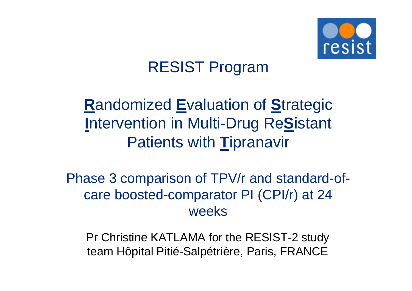

# RESIST Program

# **R**andomized **E**valuation of **S**trategic **I**ntervention in Multi-Drug Re**S**istant Patients with **T**ipranavir

Phase 3 comparison of TPV/r and standard-ofcare boosted-comparator PI (CPI/r) at 24 weeks

Pr Christine KATLAMA for the RESIST-2 study team Hôpital Pitié-Salpétrière, Paris, FRANCE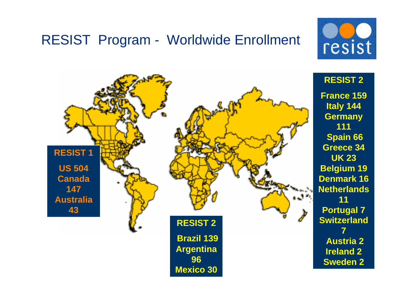### RESIST Program - Worldwide Enrollment



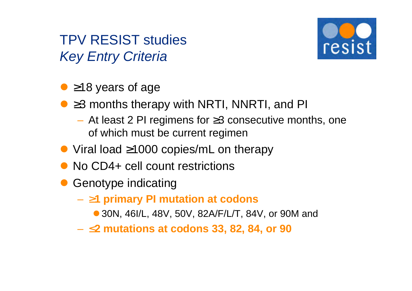TPV RESIST studies *Key Entry Criteria*



- $\bullet$  ≥18 years of age
- l ≥3 months therapy with NRTI, NNRTI, and PI
	- At least 2 PI regimens for ≥3 consecutive months, one of which must be current regimen
- l Viral load ≥1000 copies/mL on therapy
- No CD4+ cell count restrictions
- Genotype indicating
	- **³1 primary PI mutation at codons**
		- 30N, 46I/L, 48V, 50V, 82A/F/L/T, 84V, or 90M and
	- **£2 mutations at codons 33, 82, 84, or 90**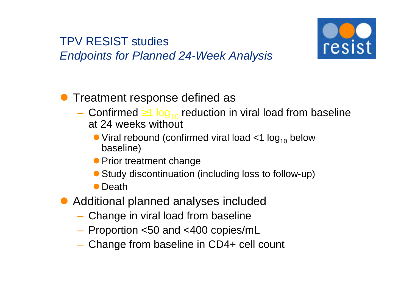#### TPV RESIST studies *Endpoints for Planned 24-Week Analysis*



- **Treatment response defined as** 
	- Confirmed  $\geq 1$  log<sub>10</sub> reduction in viral load from baseline at 24 weeks without
		- $\bullet$  Viral rebound (confirmed viral load  $\lt 1$  log<sub>10</sub> below baseline)
		- **Prior treatment change**
		- Study discontinuation (including loss to follow-up)
		- Death
- Additional planned analyses included
	- Change in viral load from baseline
	- Proportion <50 and <400 copies/mL
	- Change from baseline in CD4+ cell count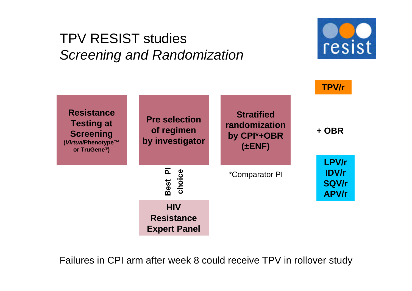## TPV RESIST studies *Screening and Randomization*





Failures in CPI arm after week 8 could receive TPV in rollover study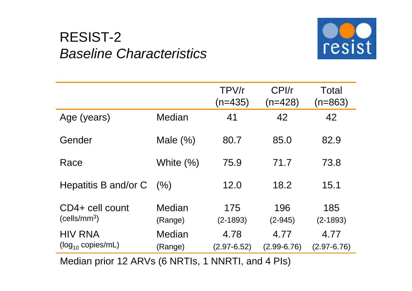## RESIST-2 *Baseline Characteristics*



|                                             |                   | TPV/r<br>(n=435)        | CPI/r<br>$(n=428)$      | Total<br>$(n=863)$      |
|---------------------------------------------|-------------------|-------------------------|-------------------------|-------------------------|
| Age (years)                                 | Median            | 41                      | 42                      | 42                      |
| Gender                                      | Male $(\%)$       | 80.7                    | 85.0                    | 82.9                    |
| Race                                        | White $(\%)$      | 75.9                    | 71.7                    | 73.8                    |
| Hepatitis B and/or C                        | (% )              | 12.0                    | 18.2                    | 15.1                    |
| CD4+ cell count<br>(cells/mm <sup>3</sup> ) | Median<br>(Range) | 175<br>$(2 - 1893)$     | 196<br>$(2-945)$        | 185<br>$(2 - 1893)$     |
| <b>HIV RNA</b><br>$(log_{10}$ copies/mL)    | Median<br>(Range) | 4.78<br>$(2.97 - 6.52)$ | 4.77<br>$(2.99 - 6.76)$ | 4.77<br>$(2.97 - 6.76)$ |

Median prior 12 ARVs (6 NRTIs, 1 NNRTI, and 4 PIs)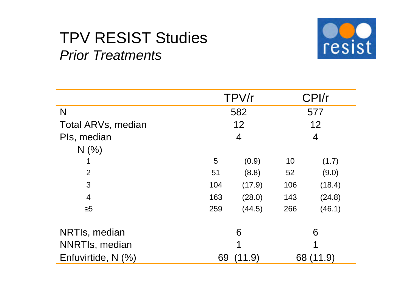# TPV RESIST Studies *Prior Treatments*



|                       |     | TPV/r          |     | CPI/r     |
|-----------------------|-----|----------------|-----|-----------|
| N                     |     | 582            |     | 577       |
| Total ARVs, median    |     | 12             |     | 12        |
| PIs, median           |     | $\overline{4}$ |     | 4         |
| N(% )                 |     |                |     |           |
|                       | 5   | (0.9)          | 10  | (1.7)     |
| $\overline{2}$        | 51  | (8.8)          | 52  | (9.0)     |
| 3                     | 104 | (17.9)         | 106 | (18.4)    |
| $\overline{4}$        | 163 | (28.0)         | 143 | (24.8)    |
| $\geq 5$              | 259 | (44.5)         | 266 | (46.1)    |
| NRTIs, median         |     | 6              |     | 6         |
| <b>NNRTIs, median</b> |     |                |     |           |
| Enfuvirtide, N (%)    | 69  | (11.9)         |     | 68 (11.9) |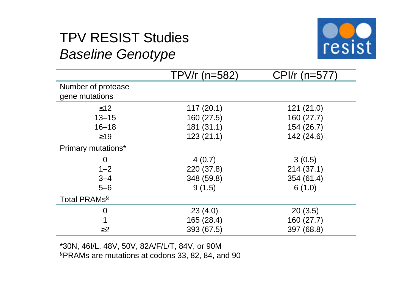# TPV RESIST Studies *Baseline Genotype*



|                                      | TPV/ $r$ (n=582) | CPI/r (n=577) |
|--------------------------------------|------------------|---------------|
| Number of protease<br>gene mutations |                  |               |
| $\leq 12$                            | 117(20.1)        | 121(21.0)     |
| $13 - 15$                            | 160 (27.5)       | 160 (27.7)    |
| $16 - 18$                            | 181(31.1)        | 154 (26.7)    |
| $\geq$ 19                            | 123(21.1)        | 142 (24.6)    |
| <b>Primary mutations*</b>            |                  |               |
| 0                                    | 4(0.7)           | 3(0.5)        |
| $1 - 2$                              | 220 (37.8)       | 214(37.1)     |
| $3 - 4$                              | 348 (59.8)       | 354 (61.4)    |
| $5-6$                                | 9(1.5)           | 6(1.0)        |
| Total PRAMs <sup>§</sup>             |                  |               |
| $\overline{0}$                       | 23(4.0)          | 20(3.5)       |
|                                      | 165 (28.4)       | 160 (27.7)    |
| $\geq$ 2                             | 393 (67.5)       | 397 (68.8)    |

\*30N, 46I/L, 48V, 50V, 82A/F/L/T, 84V, or 90M §PRAMs are mutations at codons 33, 82, 84, and 90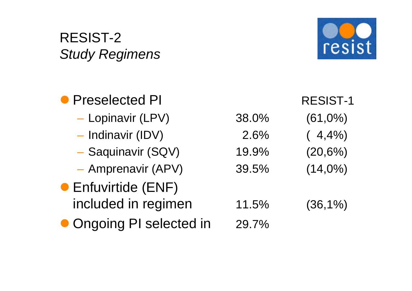# RESIST-2 *Study Regimens*



| • Preselected PI         |       | <b>RESIST-1</b> |
|--------------------------|-------|-----------------|
| - Lopinavir (LPV)        | 38.0% | $(61,0\%)$      |
| - Indinavir (IDV)        | 2.6%  | (4,4%           |
| - Saquinavir (SQV)       | 19.9% | $(20,6\%)$      |
| - Amprenavir (APV)       | 39.5% | $(14,0\%)$      |
| • Enfuvirtide (ENF)      |       |                 |
| included in regimen      | 11.5% | $(36,1\%)$      |
| • Ongoing PI selected in | 29.7% |                 |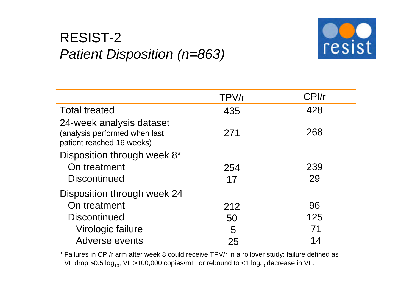# RESIST-2 *Patient Disposition (n=863)*



|                                                                                        | TPV/r | CPI/r |
|----------------------------------------------------------------------------------------|-------|-------|
| <b>Total treated</b>                                                                   | 435   | 428   |
| 24-week analysis dataset<br>(analysis performed when last<br>patient reached 16 weeks) | 271   | 268   |
| Disposition through week 8*                                                            |       |       |
| On treatment                                                                           | 254   | 239   |
| <b>Discontinued</b>                                                                    | 17    | 29    |
| Disposition through week 24                                                            |       |       |
| On treatment                                                                           | 212   | 96    |
| <b>Discontinued</b>                                                                    | 50    | 125   |
| Virologic failure                                                                      | 5     | 71    |
| Adverse events                                                                         | 25    | 14    |

\* Failures in CPI/r arm after week 8 could receive TPV/r in a rollover study: failure defined as VL drop ≤0.5  $log_{10}$ , VL >100,000 copies/mL, or rebound to <1  $log_{10}$  decrease in VL.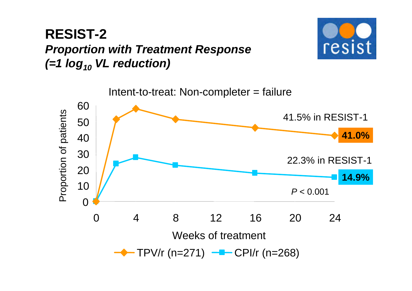### **RESIST-2** *Proportion with Treatment Response (=1 log<sup>10</sup> VL reduction)*



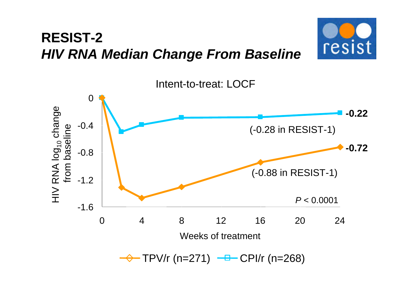## **RESIST-2** *HIV RNA Median Change From Baseline*



resist

 $\rightarrow$  TPV/r (n=271)  $\rightarrow$  CPI/r (n=268)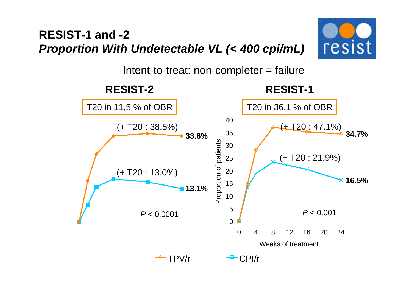#### **RESIST-1 and -2** *Proportion With Undetectable VL (< 400 cpi/mL)*



Intent-to-treat: non-completer = failure

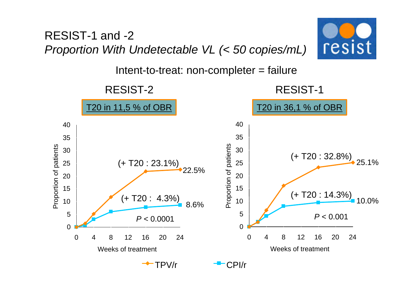#### RESIST-1 and -2 *Proportion With Undetectable VL (< 50 copies/mL)*



Intent-to-treat: non-completer = failure

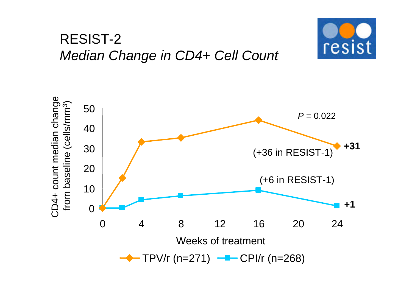### RESIST-2 *Median Change in CD4+ Cell Count*



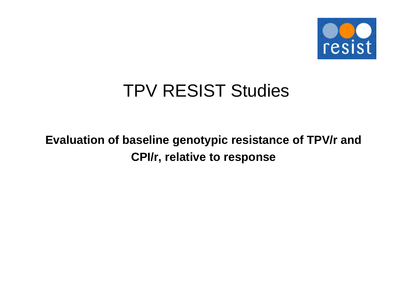

# TPV RESIST Studies

### **Evaluation of baseline genotypic resistance of TPV/r and CPI/r, relative to response**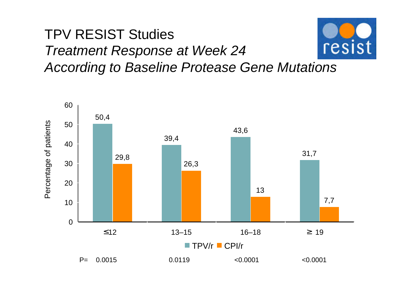#### TPV RESIST Studies resist *Treatment Response at Week 24 According to Baseline Protease Gene Mutations*

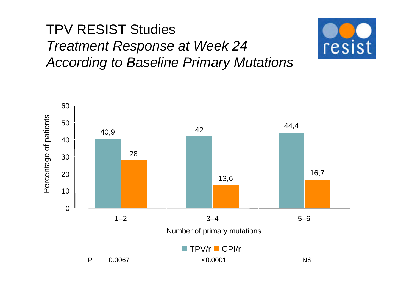# TPV RESIST Studies *Treatment Response at Week 24 According to Baseline Primary Mutations*



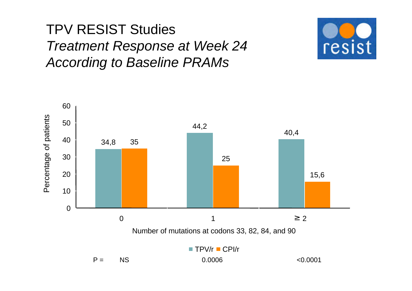# TPV RESIST Studies *Treatment Response at Week 24 According to Baseline PRAMs*



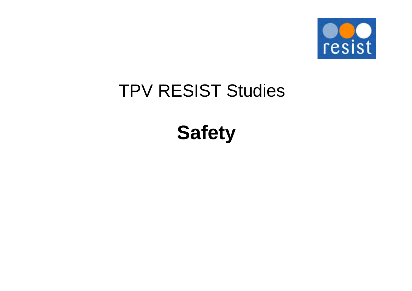

# TPV RESIST Studies

**Safety**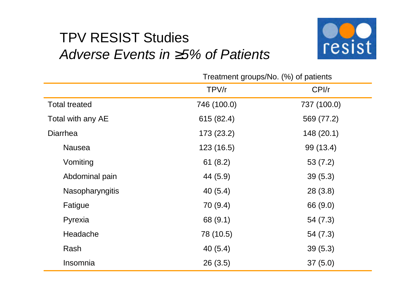## TPV RESIST Studies *Adverse Events in ³5% of Patients*



|                        | Treatment groups/No. (%) of patients |             |  |
|------------------------|--------------------------------------|-------------|--|
|                        | TPV/r                                | CPI/r       |  |
| <b>Total treated</b>   | 746 (100.0)                          | 737 (100.0) |  |
| Total with any AE      | 615 (82.4)                           | 569 (77.2)  |  |
| <b>Diarrhea</b>        | 173(23.2)                            | 148(20.1)   |  |
| <b>Nausea</b>          | 123(16.5)                            | 99 (13.4)   |  |
| Vomiting               | 61(8.2)                              | 53(7.2)     |  |
| Abdominal pain         | 44 (5.9)                             | 39(5.3)     |  |
| <b>Nasopharyngitis</b> | 40(5.4)                              | 28(3.8)     |  |
| Fatigue                | 70 (9.4)                             | 66 (9.0)    |  |
| Pyrexia                | 68 (9.1)                             | 54(7.3)     |  |
| Headache               | 78 (10.5)                            | 54(7.3)     |  |
| Rash                   | 40(5.4)                              | 39(5.3)     |  |
| Insomnia               | 26(3.5)                              | 37(5.0)     |  |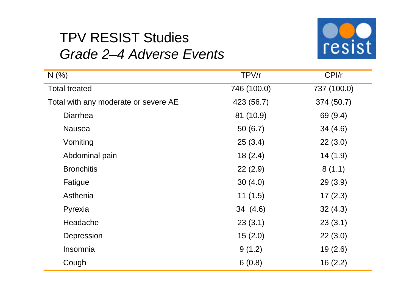

# TPV RESIST Studies *Grade 2–4 Adverse Events*

| N(%                                  | TPV/r       | CPI/r       |
|--------------------------------------|-------------|-------------|
| <b>Total treated</b>                 | 746 (100.0) | 737 (100.0) |
| Total with any moderate or severe AE | 423 (56.7)  | 374 (50.7)  |
| <b>Diarrhea</b>                      | 81 (10.9)   | 69 (9.4)    |
| <b>Nausea</b>                        | 50(6.7)     | 34(4.6)     |
| Vomiting                             | 25(3.4)     | 22(3.0)     |
| Abdominal pain                       | 18(2.4)     | 14(1.9)     |
| <b>Bronchitis</b>                    | 22(2.9)     | 8(1.1)      |
| Fatigue                              | 30(4.0)     | 29(3.9)     |
| Asthenia                             | 11(1.5)     | 17(2.3)     |
| Pyrexia                              | 34 (4.6)    | 32(4.3)     |
| Headache                             | 23(3.1)     | 23(3.1)     |
| Depression                           | 15(2.0)     | 22(3.0)     |
| Insomnia                             | 9(1.2)      | 19(2.6)     |
| Cough                                | 6(0.8)      | 16(2.2)     |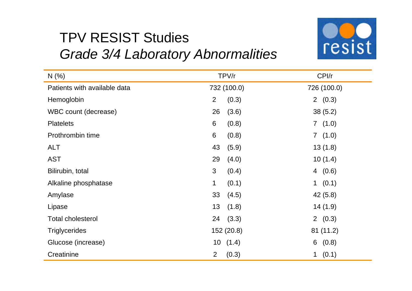# TPV RESIST Studies *Grade 3/4 Laboratory Abnormalities*



| N(%                          | TPV/r                   | CPI/r       |
|------------------------------|-------------------------|-------------|
| Patients with available data | 732 (100.0)             | 726 (100.0) |
| Hemoglobin                   | (0.3)<br>2              | 2(0.3)      |
| WBC count (decrease)         | (3.6)<br>26             | 38(5.2)     |
| <b>Platelets</b>             | 6<br>(0.8)              | 7(1.0)      |
| Prothrombin time             | 6<br>(0.8)              | 7(1.0)      |
| <b>ALT</b>                   | 43<br>(5.9)             | 13(1.8)     |
| <b>AST</b>                   | 29<br>(4.0)             | 10(1.4)     |
| Bilirubin, total             | 3<br>(0.4)              | 4(0.6)      |
| Alkaline phosphatase         | $\mathbf 1$<br>(0.1)    | 1 $(0.1)$   |
| Amylase                      | 33<br>(4.5)             | 42(5.8)     |
| Lipase                       | 13<br>(1.8)             | 14(1.9)     |
| <b>Total cholesterol</b>     | (3.3)<br>24             | 2(0.3)      |
| <b>Triglycerides</b>         | 152 (20.8)              | 81(11.2)    |
| Glucose (increase)           | 10(1.4)                 | (0.8)<br>6  |
| Creatinine                   | $\overline{2}$<br>(0.3) | 1 $(0.1)$   |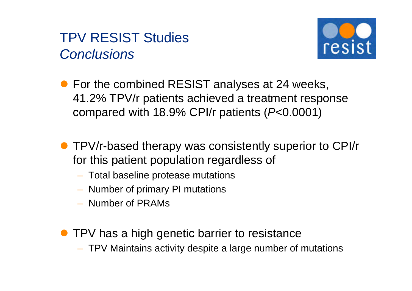### TPV RESIST Studies *Conclusions*



- For the combined RESIST analyses at 24 weeks, 41.2% TPV/r patients achieved a treatment response compared with 18.9% CPI/r patients (*P*<0.0001)
- **TPV/r-based therapy was consistently superior to CPI/r** for this patient population regardless of
	- Total baseline protease mutations
	- Number of primary PI mutations
	- Number of PRAMs
- **TPV has a high genetic barrier to resistance** 
	- TPV Maintains activity despite a large number of mutations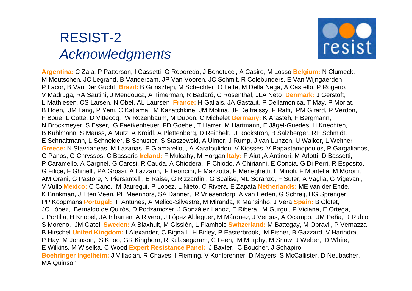## RESIST-2 *Acknowledgments*



**Argentina:** C Zala, P Patterson, I Cassetti, G Reboredo, J Benetucci, A Casiro, M Losso **Belgium:** N Clumeck, M Moutschen, JC Legrand, B Vandercam, JP Van Vooren, JC Schmit, R Colebunders, E Van Wijngaerden, P Lacor, B Van Der Gucht **Brazil:** B Grinsztejn, M Schechter, O Leite, M Della Nega, A Castello, P Rogerio, V Madruga, RA Sautini, J Mendouca, A Timerman, R Badaró, C Rosenthal, JLA Neto **Denmark:** J Gerstoft, L Mathiesen, CS Larsen, N Obel, AL Laursen **France:** H Gallais, JA Gastaut, P Dellamonica, T May, P Morlat, B Hoen, JM Lang, P Yeni, C Katlama, M Kazatchkine, JM Molina, JF Delfraissy, F Raffi, PM Girard, R Verdon, F Boue, L Cotte, D Vittecoq, W Rozenbaum, M Dupon, C Michelet **Germany:** K Arasteh, F Bergmann, N Brockmeyer, S Esser, G Faetkenheuer, FD Goebel, T Harrer, M Hartmann, E Jägel-Guedes, H Knechten, B Kuhlmann, S Mauss, A Mutz, A Kroidl, A Plettenberg, D Reichelt, J Rockstroh, B Salzberger, RE Schmidt, E Schnaitmann, L Schneider, B Schuster, S Staszewski, A Ulmer, J Rump, J van Lunzen, U Walker, L Weitner **Greece:** N Stavrianeas, M Lazanas, E Giamarellou, A Karafoulidou, V Kiosses, V Papastamopoulos, P Gargalianos, G Panos, G Chryssos, C Bassaris **Ireland:** F Mulcahy, M Horgan **Italy:** F Aiuti,A Antinori, M Arlotti, D Bassetti, P Caramello, A Cargnel, G Carosi, R Cauda, A Chiodera, F Chiodo, A Chirianni, E Concia, G Di Perri, R Esposito, G Filice, F Ghinelli, PA Grossi, A Lazzarin, F Leoncini, F Mazzotta, F Meneghetti, L Minoli, F Montella, M Moroni, AM Orani, G Pastore, N Piersantelli, E Raise, G Rizzardini, G Scalise, ML Soranzo, F Suter, A Vaglia, G Vigevani, V Vullo **Mexico:** C Cano, M Jauregui, P Lopez, L Nieto, C Rivera, E Zapata **Netherlands:** ME van der Ende, K Brinkman, JH ten Veen, PL Meenhors, SA Danner, R Vriesendorp, A van Eeden, G Schreij, HG Sprenger, PP Koopmans **Portugal:** F Antunes, A Melico-Silvestre, M Miranda, K Mansinho, J Vera **Spain:** B Clotet, JC López, Bernaldo de Quirós, D Podzamczer, J González Lahoz, E Ribera, M Gurguí, P Viciana, E Ortega, J Portilla, H Knobel, JA Iribarren, A Rivero, J López Aldeguer, M Márquez, J Vergas, A Ocampo, JM Peña, R Rubio, S Moreno, JM Gatell **Sweden:** A Blaxhult, M Gisslén, L Flamholc **Switzerland:** M Battegay, M Opravil, P Vernazza, B Hirschel **United Kingdom:** I Alexander, C Bignall, H Birley, P Easterbrook, M Fisher, B Gazzard, V Harindra, P Hay, M Johnson, S Khoo, GR Kinghorn, R Kulasegaram, C Leen, M Murphy, M Snow, J Weber, D White, E Wilkins, M Wiselka, C Wood **Expert Resistance Panel:** J Baxter, C Boucher, J Schapiro **Boehringer Ingelheim:** J Villacian, R Chaves, I Fleming, V Kohlbrenner, D Mayers, S McCallister, D Neubacher, MA Quinson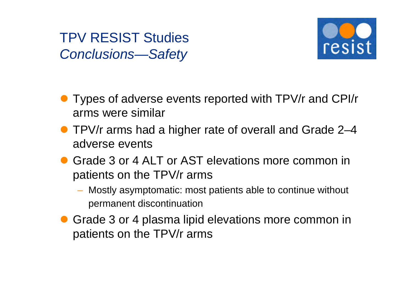TPV RESIST Studies *Conclusions—Safety*



- Types of adverse events reported with TPV/r and CPI/r arms were similar
- TPV/r arms had a higher rate of overall and Grade 2–4 adverse events
- **Grade 3 or 4 ALT or AST elevations more common in** patients on the TPV/r arms
	- Mostly asymptomatic: most patients able to continue without permanent discontinuation
- Grade 3 or 4 plasma lipid elevations more common in patients on the TPV/r arms